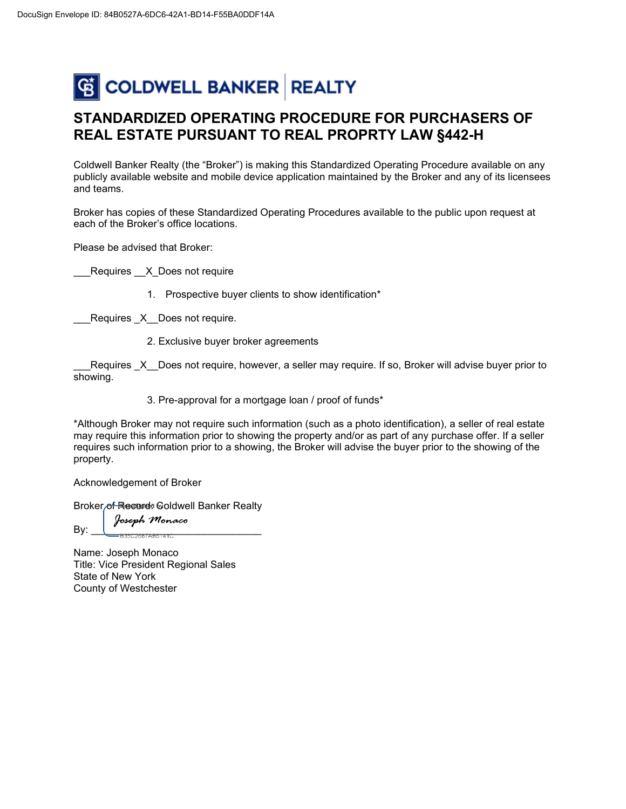## C COLDWELL BANKER REALTY

## **STANDARDIZED OPERATING PROCEDURE FOR PURCHASERS OF REAL ESTATE PURSUANT TO REAL PROPRTY LAW §442-H**

Coldwell Banker Realty (the "Broker") is making this Standardized Operating Procedure available on any publicly available website and mobile device application maintained by the Broker and any of its licensees and teams.

Broker has copies of these Standardized Operating Procedures available to the public upon request at each of the Broker's office locations.

Please be advised that Broker:

Requires X Does not require

1. Prospective buyer clients to show identification\*

Requires X Does not require.

2. Exclusive buyer broker agreements

Requires X Does not require, however, a seller may require. If so, Broker will advise buyer prior to showing.

3. Pre-approval for a mortgage loan / proof of funds\*

\*Although Broker may not require such information (such as a photo identification), a seller of real estate may require this information prior to showing the property and/or as part of any purchase offer. If a seller requires such information prior to a showing, the Broker will advise the buyer prior to the showing of the property.

Acknowledgement of Broker

Broker of Record: Coldwell Banker Realty

Joseph Monaco  $\mathsf{By:}\_\_\_\_\_\_\_\_\_\_\_\$ 

Name: Joseph Monaco Title: Vice President Regional Sales State of New York County of Westchester